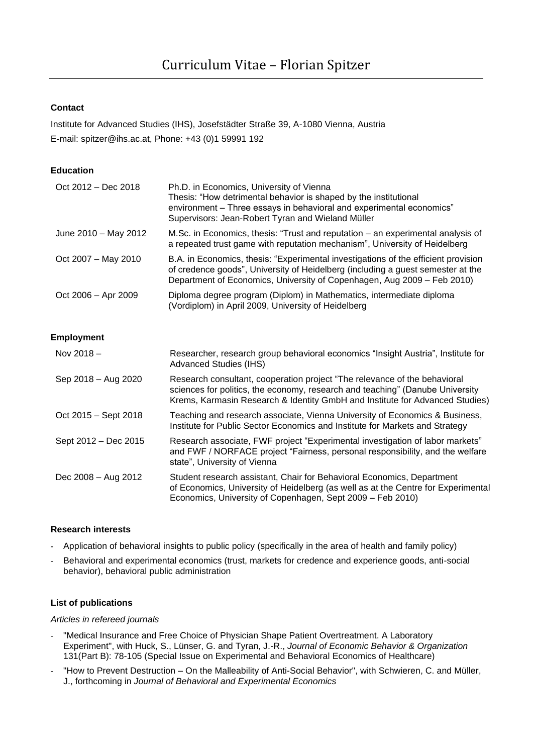# **Contact**

Institute for Advanced Studies (IHS), Josefstädter Straße 39, A-1080 Vienna, Austria E-mail: spitzer@ihs.ac.at, Phone: +43 (0)1 59991 192

# **Education**

| $Oct 2012 - Dec 2018$ | Ph.D. in Economics, University of Vienna<br>Thesis: "How detrimental behavior is shaped by the institutional<br>environment - Three essays in behavioral and experimental economics"<br>Supervisors: Jean-Robert Tyran and Wieland Müller        |
|-----------------------|--------------------------------------------------------------------------------------------------------------------------------------------------------------------------------------------------------------------------------------------------|
| June 2010 - May 2012  | M.Sc. in Economics, thesis: "Trust and reputation – an experimental analysis of<br>a repeated trust game with reputation mechanism", University of Heidelberg                                                                                    |
| Oct 2007 - May 2010   | B.A. in Economics, thesis: "Experimental investigations of the efficient provision<br>of credence goods", University of Heidelberg (including a guest semester at the<br>Department of Economics, University of Copenhagen, Aug 2009 - Feb 2010) |
| Oct 2006 - Apr 2009   | Diploma degree program (Diplom) in Mathematics, intermediate diploma<br>(Vordiplom) in April 2009, University of Heidelberg                                                                                                                      |

# **Employment**

| Nov $2018 -$           | Researcher, research group behavioral economics "Insight Austria", Institute for<br><b>Advanced Studies (IHS)</b>                                                                                                                          |
|------------------------|--------------------------------------------------------------------------------------------------------------------------------------------------------------------------------------------------------------------------------------------|
| Sep 2018 - Aug 2020    | Research consultant, cooperation project "The relevance of the behavioral<br>sciences for politics, the economy, research and teaching" (Danube University<br>Krems, Karmasin Research & Identity GmbH and Institute for Advanced Studies) |
| $Oct 2015 - Sept 2018$ | Teaching and research associate, Vienna University of Economics & Business,<br>Institute for Public Sector Economics and Institute for Markets and Strategy                                                                                |
| Sept 2012 – Dec 2015   | Research associate, FWF project "Experimental investigation of labor markets"<br>and FWF / NORFACE project "Fairness, personal responsibility, and the welfare<br>state", University of Vienna                                             |
| Dec 2008 - Aug 2012    | Student research assistant, Chair for Behavioral Economics, Department<br>of Economics, University of Heidelberg (as well as at the Centre for Experimental<br>Economics, University of Copenhagen, Sept 2009 - Feb 2010)                  |

### **Research interests**

- Application of behavioral insights to public policy (specifically in the area of health and family policy)
- Behavioral and experimental economics (trust, markets for credence and experience goods, anti-social behavior), behavioral public administration

### **List of publications**

#### *Articles in refereed journals*

- "Medical Insurance and Free Choice of Physician Shape Patient Overtreatment. A Laboratory Experiment", with Huck, S., Lünser, G. and Tyran, J.-R., *Journal of Economic Behavior & Organization* 131(Part B): 78-105 (Special Issue on Experimental and Behavioral Economics of Healthcare)
- "How to Prevent Destruction On the Malleability of Anti-Social Behavior", with Schwieren, C. and Müller, J., forthcoming in *Journal of Behavioral and Experimental Economics*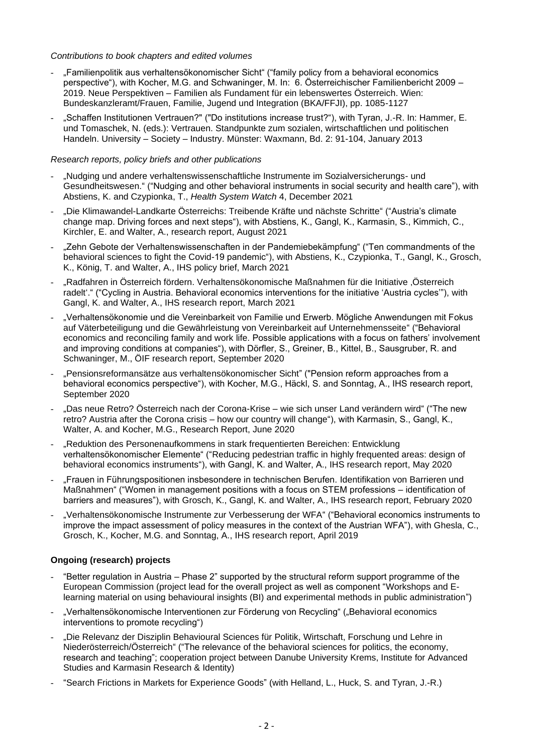#### *Contributions to book chapters and edited volumes*

- "Familienpolitik aus verhaltensökonomischer Sicht" ("family policy from a behavioral economics perspective"), with Kocher, M.G. and Schwaninger, M. In: 6. Österreichischer Familienbericht 2009 – 2019. Neue Perspektiven – Familien als Fundament für ein lebenswertes Österreich. Wien: Bundeskanzleramt/Frauen, Familie, Jugend und Integration (BKA/FFJI), pp. 1085-1127
- "Schaffen Institutionen Vertrauen?" ("Do institutions increase trust?"), with Tyran, J.-R. In: Hammer, E. und Tomaschek, N. (eds.): Vertrauen. Standpunkte zum sozialen, wirtschaftlichen und politischen Handeln. University – Society – Industry. Münster: Waxmann, Bd. 2: 91-104, January 2013

# *Research reports, policy briefs and other publications*

- "Nudging und andere verhaltenswissenschaftliche Instrumente im Sozialversicherungs- und Gesundheitswesen." ("Nudging and other behavioral instruments in social security and health care"), with Abstiens, K. and Czypionka, T., *Health System Watch* 4, December 2021
- "Die Klimawandel-Landkarte Österreichs: Treibende Kräfte und nächste Schritte" ("Austria's climate change map. Driving forces and next steps"), with Abstiens, K., Gangl, K., Karmasin, S., Kimmich, C., Kirchler, E. and Walter, A., research report, August 2021
- "Zehn Gebote der Verhaltenswissenschaften in der Pandemiebekämpfung" ("Ten commandments of the behavioral sciences to fight the Covid-19 pandemic"), with Abstiens, K., Czypionka, T., Gangl, K., Grosch, K., König, T. and Walter, A., IHS policy brief, March 2021
- "Radfahren in Österreich fördern. Verhaltensökonomische Maßnahmen für die Initiative 'Österreich radelt'." ("Cycling in Austria. Behavioral economics interventions for the initiative 'Austria cycles'"), with Gangl, K. and Walter, A., IHS research report, March 2021
- "Verhaltensökonomie und die Vereinbarkeit von Familie und Erwerb. Mögliche Anwendungen mit Fokus auf Väterbeteiligung und die Gewährleistung von Vereinbarkeit auf Unternehmensseite" ("Behavioral economics and reconciling family and work life. Possible applications with a focus on fathers' involvement and improving conditions at companies"), with Dörfler, S., Greiner, B., Kittel, B., Sausgruber, R. and Schwaninger, M., ÖIF research report, September 2020
- "Pensionsreformansätze aus verhaltensökonomischer Sicht" ("Pension reform approaches from a behavioral economics perspective"), with Kocher, M.G., Häckl, S. and Sonntag, A., IHS research report, September 2020
- "Das neue Retro? Österreich nach der Corona-Krise wie sich unser Land verändern wird" ("The new retro? Austria after the Corona crisis – how our country will change"), with Karmasin, S., Gangl, K., Walter, A. and Kocher, M.G., Research Report, June 2020
- "Reduktion des Personenaufkommens in stark frequentierten Bereichen: Entwicklung verhaltensökonomischer Elemente" ("Reducing pedestrian traffic in highly frequented areas: design of behavioral economics instruments"), with Gangl, K. and Walter, A., IHS research report, May 2020
- "Frauen in Führungspositionen insbesondere in technischen Berufen. Identifikation von Barrieren und Maßnahmen" ("Women in management positions with a focus on STEM professions – identification of barriers and measures"), with Grosch, K., Gangl, K. and Walter, A., IHS research report, February 2020
- "Verhaltensökonomische Instrumente zur Verbesserung der WFA" ("Behavioral economics instruments to improve the impact assessment of policy measures in the context of the Austrian WFA"), with Ghesla, C., Grosch, K., Kocher, M.G. and Sonntag, A., IHS research report, April 2019

# **Ongoing (research) projects**

- "Better regulation in Austria Phase 2" supported by the structural reform support programme of the European Commission (project lead for the overall project as well as component "Workshops and Elearning material on using behavioural insights (BI) and experimental methods in public administration")
- "Verhaltensökonomische Interventionen zur Förderung von Recycling" ("Behavioral economics interventions to promote recycling")
- "Die Relevanz der Disziplin Behavioural Sciences für Politik, Wirtschaft, Forschung und Lehre in Niederösterreich/Österreich" ("The relevance of the behavioral sciences for politics, the economy, research and teaching"; cooperation project between Danube University Krems, Institute for Advanced Studies and Karmasin Research & Identity)
- "Search Frictions in Markets for Experience Goods" (with Helland, L., Huck, S. and Tyran, J.-R.)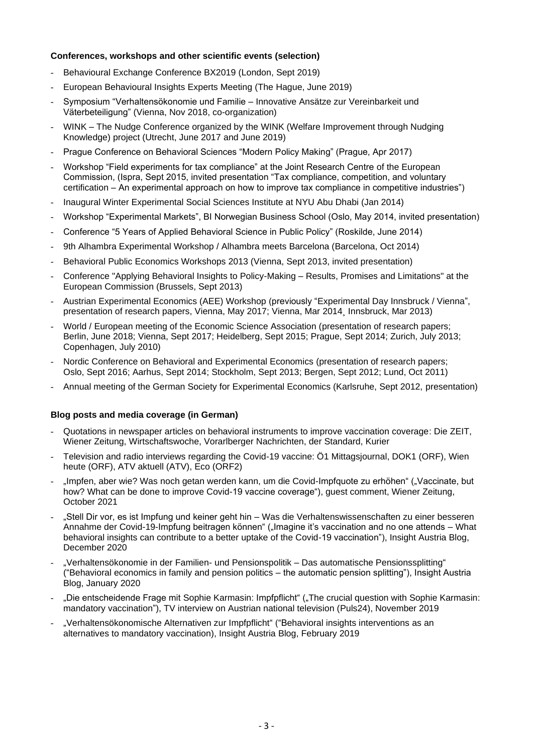### **Conferences, workshops and other scientific events (selection)**

- Behavioural Exchange Conference BX2019 (London, Sept 2019)
- European Behavioural Insights Experts Meeting (The Hague, June 2019)
- Symposium "Verhaltensökonomie und Familie Innovative Ansätze zur Vereinbarkeit und Väterbeteiligung" (Vienna, Nov 2018, co-organization)
- WINK The Nudge Conference organized by the WINK (Welfare Improvement through Nudging Knowledge) project (Utrecht, June 2017 and June 2019)
- Prague Conference on Behavioral Sciences "Modern Policy Making" (Prague, Apr 2017)
- Workshop "Field experiments for tax compliance" at the Joint Research Centre of the European Commission, (Ispra, Sept 2015, invited presentation "Tax compliance, competition, and voluntary certification – An experimental approach on how to improve tax compliance in competitive industries")
- Inaugural Winter Experimental Social Sciences Institute at NYU Abu Dhabi (Jan 2014)
- Workshop "Experimental Markets", BI Norwegian Business School (Oslo, May 2014, invited presentation)
- Conference "5 Years of Applied Behavioral Science in Public Policy" (Roskilde, June 2014)
- 9th Alhambra Experimental Workshop / Alhambra meets Barcelona (Barcelona, Oct 2014)
- Behavioral Public Economics Workshops 2013 (Vienna, Sept 2013, invited presentation)
- Conference "Applying Behavioral Insights to Policy-Making Results, Promises and Limitations" at the European Commission (Brussels, Sept 2013)
- Austrian Experimental Economics (AEE) Workshop (previously "Experimental Day Innsbruck / Vienna", presentation of research papers, Vienna, May 2017; Vienna, Mar 2014¸ Innsbruck, Mar 2013)
- World / European meeting of the Economic Science Association (presentation of research papers; Berlin, June 2018; Vienna, Sept 2017; Heidelberg, Sept 2015; Prague, Sept 2014; Zurich, July 2013; Copenhagen, July 2010)
- Nordic Conference on Behavioral and Experimental Economics (presentation of research papers; Oslo, Sept 2016; Aarhus, Sept 2014; Stockholm, Sept 2013; Bergen, Sept 2012; Lund, Oct 2011)
- Annual meeting of the German Society for Experimental Economics (Karlsruhe, Sept 2012, presentation)

### **Blog posts and media coverage (in German)**

- Quotations in newspaper articles on behavioral instruments to improve vaccination coverage: Die ZEIT, Wiener Zeitung, Wirtschaftswoche, Vorarlberger Nachrichten, der Standard, Kurier
- Television and radio interviews regarding the Covid-19 vaccine: Ö1 Mittagsjournal, DOK1 (ORF), Wien heute (ORF), ATV aktuell (ATV), Eco (ORF2)
- "Impfen, aber wie? Was noch getan werden kann, um die Covid-Impfquote zu erhöhen" ("Vaccinate, but how? What can be done to improve Covid-19 vaccine coverage"), guest comment, Wiener Zeitung, October 2021
- "Stell Dir vor, es ist Impfung und keiner geht hin Was die Verhaltenswissenschaften zu einer besseren Annahme der Covid-19-Impfung beitragen können" ("Imagine it's vaccination and no one attends – What behavioral insights can contribute to a better uptake of the Covid-19 vaccination"), Insight Austria Blog, December 2020
- "Verhaltensökonomie in der Familien- und Pensionspolitik Das automatische Pensionssplitting" ("Behavioral economics in family and pension politics – the automatic pension splitting"), Insight Austria Blog, January 2020
- "Die entscheidende Frage mit Sophie Karmasin: Impfpflicht" ("The crucial question with Sophie Karmasin: mandatory vaccination"), TV interview on Austrian national television (Puls24), November 2019
- "Verhaltensökonomische Alternativen zur Impfpflicht" ("Behavioral insights interventions as an alternatives to mandatory vaccination), Insight Austria Blog, February 2019